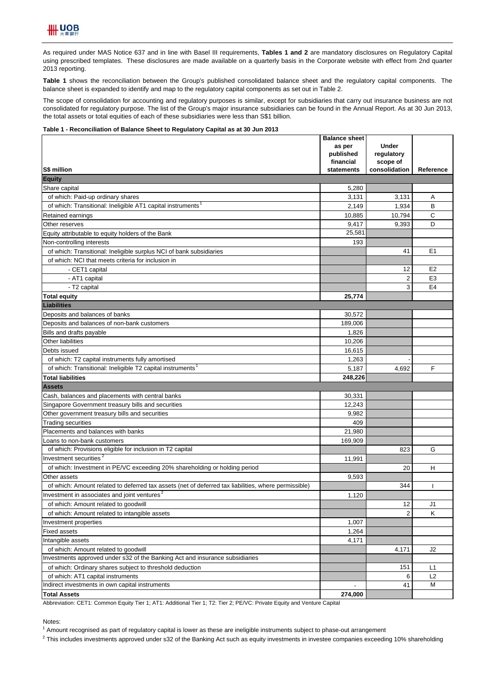

As required under MAS Notice 637 and in line with Basel III requirements, **Tables 1 and 2** are mandatory disclosures on Regulatory Capital using prescribed templates. These disclosures are made available on a quarterly basis in the Corporate website with effect from 2nd quarter 2013 reporting.

**Table 1** shows the reconciliation between the Group's published consolidated balance sheet and the regulatory capital components. The balance sheet is expanded to identify and map to the regulatory capital components as set out in Table 2.

The scope of consolidation for accounting and regulatory purposes is similar, except for subsidiaries that carry out insurance business are not consolidated for regulatory purpose. The list of the Group's major insurance subsidiaries can be found in the Annual Report. As at 30 Jun 2013, the total assets or total equities of each of these subsidiaries were less than S\$1 billion.

## **Table 1 - Reconciliation of Balance Sheet to Regulatory Capital as at 30 Jun 2013**

|                                                                                                                           | <b>Balance sheet</b><br>as per | <b>Under</b>              |                |
|---------------------------------------------------------------------------------------------------------------------------|--------------------------------|---------------------------|----------------|
|                                                                                                                           | published                      | regulatory                |                |
| S\$ million                                                                                                               | financial<br>statements        | scope of<br>consolidation | Reference      |
| <b>Equity</b>                                                                                                             |                                |                           |                |
| Share capital                                                                                                             | 5,280                          |                           |                |
| of which: Paid-up ordinary shares                                                                                         | 3,131                          | 3,131                     | Α              |
| of which: Transitional: Ineligible AT1 capital instruments <sup>1</sup>                                                   | 2,149                          | 1,934                     | B              |
| Retained earnings                                                                                                         | 10,885                         | 10,794                    | С              |
| Other reserves                                                                                                            | 9,417                          | 9,393                     | D              |
| Equity attributable to equity holders of the Bank                                                                         | 25.581                         |                           |                |
|                                                                                                                           | 193                            |                           |                |
| Non-controlling interests                                                                                                 |                                | 41                        | E <sub>1</sub> |
| of which: Transitional: Ineligible surplus NCI of bank subsidiaries<br>of which: NCI that meets criteria for inclusion in |                                |                           |                |
|                                                                                                                           |                                | 12                        | E <sub>2</sub> |
| - CET1 capital                                                                                                            |                                | $\overline{2}$            | E <sub>3</sub> |
| - AT1 capital<br>- T2 capital                                                                                             |                                | 3                         | E <sub>4</sub> |
| <b>Total equity</b>                                                                                                       | 25,774                         |                           |                |
| Liabilities                                                                                                               |                                |                           |                |
| Deposits and balances of banks                                                                                            | 30,572                         |                           |                |
| Deposits and balances of non-bank customers                                                                               | 189,006                        |                           |                |
| Bills and drafts payable                                                                                                  | 1,826                          |                           |                |
| Other liabilities                                                                                                         | 10,206                         |                           |                |
| Debts issued                                                                                                              | 16,615                         |                           |                |
| of which: T2 capital instruments fully amortised                                                                          | 1.263                          |                           |                |
| of which: Transitional: Ineligible T2 capital instruments <sup>1</sup>                                                    | 5,187                          | 4,692                     | F              |
| <b>Total liabilities</b>                                                                                                  | 248,226                        |                           |                |
| <b>Assets</b>                                                                                                             |                                |                           |                |
| Cash, balances and placements with central banks                                                                          | 30,331                         |                           |                |
| Singapore Government treasury bills and securities                                                                        | 12,243                         |                           |                |
| Other government treasury bills and securities                                                                            | 9,982                          |                           |                |
| <b>Trading securities</b>                                                                                                 | 409                            |                           |                |
| Placements and balances with banks                                                                                        | 21,980                         |                           |                |
| Loans to non-bank customers                                                                                               | 169,909                        |                           |                |
| of which: Provisions eligible for inclusion in T2 capital                                                                 |                                | 823                       | G              |
| Investment securities <sup>2</sup>                                                                                        | 11,991                         |                           |                |
| of which: Investment in PE/VC exceeding 20% shareholding or holding period                                                |                                | 20                        | н              |
| Other assets                                                                                                              | 9,593                          |                           |                |
| of which: Amount related to deferred tax assets (net of deferred tax liabilities, where permissible)                      |                                | 344                       |                |
| Investment in associates and joint ventures <sup>2</sup>                                                                  | 1,120                          |                           |                |
| of which: Amount related to goodwill                                                                                      |                                | 12                        | J <sub>1</sub> |
| of which: Amount related to intangible assets                                                                             |                                | $\overline{2}$            | Κ              |
| Investment properties                                                                                                     | 1,007                          |                           |                |
| <b>Fixed assets</b>                                                                                                       | 1,264                          |                           |                |
| Intangible assets                                                                                                         | 4,171                          |                           |                |
| of which: Amount related to goodwill                                                                                      |                                | 4,171                     | J2             |
| Investments approved under s32 of the Banking Act and insurance subsidiaries                                              |                                |                           |                |
| of which: Ordinary shares subject to threshold deduction                                                                  |                                | 151                       | L1             |
| of which: AT1 capital instruments                                                                                         |                                | 6                         | L2             |
| Indirect investments in own capital instruments                                                                           |                                | 41                        | м              |
| <b>Total Assets</b>                                                                                                       | 274,000                        |                           |                |

Abbreviation: CET1: Common Equity Tier 1; AT1: Additional Tier 1; T2: Tier 2; PE/VC: Private Equity and Venture Capital

Notes:

<sup>1</sup> Amount recognised as part of regulatory capital is lower as these are ineligible instruments subject to phase-out arrangement

 $^2$  This includes investments approved under s32 of the Banking Act such as equity investments in investee companies exceeding 10% shareholding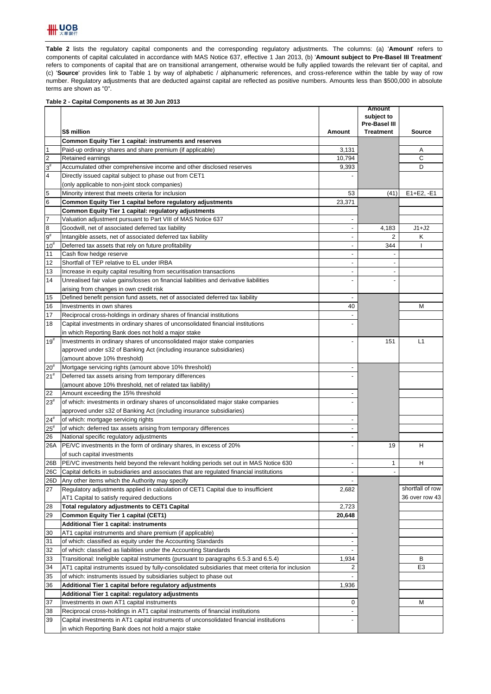

**Table 2** lists the regulatory capital components and the corresponding regulatory adjustments. The columns: (a) '**Amount**' refers to components of capital calculated in accordance with MAS Notice 637, effective 1 Jan 2013, (b) '**Amount subject to Pre-Basel III Treatment**' refers to components of capital that are on transitional arrangement, otherwise would be fully applied towards the relevant tier of capital, and (c) '**Source**' provides link to Table 1 by way of alphabetic / alphanumeric references, and cross-reference within the table by way of row number. Regulatory adjustments that are deducted against capital are reflected as positive numbers. Amounts less than \$500,000 in absolute terms are shown as "0".

## **Table 2 - Capital Components as at 30 Jun 2013**

|                         |                                                                                                    |                          | <b>Amount</b><br>subject to |                  |
|-------------------------|----------------------------------------------------------------------------------------------------|--------------------------|-----------------------------|------------------|
|                         |                                                                                                    |                          | <b>Pre-Basel III</b>        |                  |
|                         | S\$ million                                                                                        | Amount                   | <b>Treatment</b>            | <b>Source</b>    |
|                         | Common Equity Tier 1 capital: instruments and reserves                                             |                          |                             |                  |
| $\overline{1}$          | Paid-up ordinary shares and share premium (if applicable)                                          | 3,131                    |                             | Α                |
| $\overline{c}$          | Retained earnings                                                                                  | 10.794                   |                             | С                |
| $3^{\sharp}$            | Accumulated other comprehensive income and other disclosed reserves                                | 9,393                    |                             | D                |
| $\overline{\mathbf{4}}$ | Directly issued capital subject to phase out from CET1                                             |                          |                             |                  |
|                         | (only applicable to non-joint stock companies)                                                     |                          |                             |                  |
| 5                       | Minority interest that meets criteria for inclusion                                                | 53                       | (41)                        | $E1 + E2, -E1$   |
| $\bf 6$                 | Common Equity Tier 1 capital before regulatory adjustments                                         | 23,371                   |                             |                  |
|                         | Common Equity Tier 1 capital: regulatory adjustments                                               |                          |                             |                  |
| $\overline{7}$          | Valuation adjustment pursuant to Part VIII of MAS Notice 637                                       |                          |                             |                  |
| $\bf 8$                 | Goodwill, net of associated deferred tax liability                                                 | $\blacksquare$           | 4,183                       | $J1+J2$          |
| $9^{\sharp}$            | Intangible assets, net of associated deferred tax liability                                        |                          | 2                           | Κ                |
| $10^{#}$                | Deferred tax assets that rely on future profitability                                              |                          | 344                         | J.               |
| 11                      | Cash flow hedge reserve                                                                            |                          |                             |                  |
| 12                      | Shortfall of TEP relative to EL under IRBA                                                         |                          |                             |                  |
| 13                      | Increase in equity capital resulting from securitisation transactions                              | $\overline{a}$           |                             |                  |
| 14                      | Unrealised fair value gains/losses on financial liabilities and derivative liabilities             |                          |                             |                  |
|                         | arising from changes in own credit risk                                                            |                          |                             |                  |
| 15                      | Defined benefit pension fund assets, net of associated deferred tax liability                      | $\overline{a}$           |                             |                  |
| 16                      | Investments in own shares                                                                          | 40                       |                             | М                |
| 17                      | Reciprocal cross-holdings in ordinary shares of financial institutions                             |                          |                             |                  |
| 18                      | Capital investments in ordinary shares of unconsolidated financial institutions                    |                          |                             |                  |
|                         | in which Reporting Bank does not hold a major stake                                                |                          |                             |                  |
| $19^{#}$                | Investments in ordinary shares of unconsolidated major stake companies                             |                          | 151                         | L1               |
|                         | approved under s32 of Banking Act (including insurance subsidiaries)                               |                          |                             |                  |
|                         | (amount above 10% threshold)                                                                       |                          |                             |                  |
| $20^{#}$                | Mortgage servicing rights (amount above 10% threshold)                                             |                          |                             |                  |
| 21 <sup>#</sup>         | Deferred tax assets arising from temporary differences                                             |                          |                             |                  |
|                         | (amount above 10% threshold, net of related tax liability)                                         |                          |                             |                  |
| 22                      | Amount exceeding the 15% threshold                                                                 |                          |                             |                  |
| $23^{\rm \#}$           | of which: investments in ordinary shares of unconsolidated major stake companies                   |                          |                             |                  |
|                         | approved under s32 of Banking Act (including insurance subsidiaries)                               |                          |                             |                  |
| $24^{#}$                | of which: mortgage servicing rights                                                                |                          |                             |                  |
| $25^{t}$                | of which: deferred tax assets arising from temporary differences                                   |                          |                             |                  |
| 26                      | National specific regulatory adjustments                                                           |                          |                             |                  |
| 26A                     | PE/VC investments in the form of ordinary shares, in excess of 20%                                 |                          | 19                          | н                |
|                         | of such capital investments                                                                        |                          |                             |                  |
| 26B                     | PE/VC investments held beyond the relevant holding periods set out in MAS Notice 630               | $\overline{a}$           | 1                           | Н                |
| 26C                     | Capital deficits in subsidiaries and associates that are regulated financial institutions          |                          |                             |                  |
| 26D                     | Any other items which the Authority may specify                                                    |                          |                             |                  |
| 27                      | Regulatory adjustments applied in calculation of CET1 Capital due to insufficient                  | 2,682                    |                             | shortfall of row |
|                         | AT1 Capital to satisfy required deductions                                                         |                          |                             | 36 over row 43   |
| 28                      | Total regulatory adjustments to CET1 Capital                                                       | 2,723                    |                             |                  |
| 29                      | Common Equity Tier 1 capital (CET1)                                                                | 20,648                   |                             |                  |
|                         | <b>Additional Tier 1 capital: instruments</b>                                                      |                          |                             |                  |
| 30                      | AT1 capital instruments and share premium (if applicable)                                          |                          |                             |                  |
| 31                      | of which: classified as equity under the Accounting Standards                                      |                          |                             |                  |
| 32                      | of which: classified as liabilities under the Accounting Standards                                 | $\overline{\phantom{a}}$ |                             |                  |
| 33                      | Transitional: Ineligible capital instruments (pursuant to paragraphs 6.5.3 and 6.5.4)              | 1,934                    |                             | В                |
| 34                      | AT1 capital instruments issued by fully-consolidated subsidiaries that meet criteria for inclusion | 2                        |                             | E3               |
| 35                      | of which: instruments issued by subsidiaries subject to phase out                                  |                          |                             |                  |
| 36                      | Additional Tier 1 capital before regulatory adjustments                                            | 1,936                    |                             |                  |
|                         | Additional Tier 1 capital: regulatory adjustments                                                  |                          |                             |                  |
| 37                      | Investments in own AT1 capital instruments                                                         | 0                        |                             | M                |
| 38                      | Reciprocal cross-holdings in AT1 capital instruments of financial institutions                     |                          |                             |                  |
| 39                      | Capital investments in AT1 capital instruments of unconsolidated financial institutions            |                          |                             |                  |
|                         | in which Reporting Bank does not hold a major stake                                                |                          |                             |                  |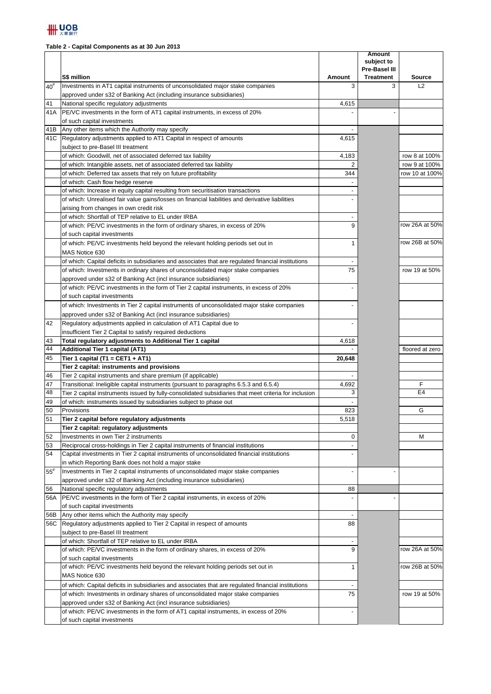## **Table 2 - Capital Components as at 30 Jun 2013**

|          | S\$ million                                                                                           | Amount         | <b>Amount</b><br>subject to<br><b>Pre-Basel III</b><br><b>Treatment</b> | <b>Source</b>   |
|----------|-------------------------------------------------------------------------------------------------------|----------------|-------------------------------------------------------------------------|-----------------|
| $40^{#}$ | Investments in AT1 capital instruments of unconsolidated major stake companies                        | 3              | 3                                                                       | L2              |
|          | approved under s32 of Banking Act (including insurance subsidiaries)                                  |                |                                                                         |                 |
| 41       | National specific regulatory adjustments                                                              | 4,615          |                                                                         |                 |
| 41A      | PE/VC investments in the form of AT1 capital instruments, in excess of 20%                            |                |                                                                         |                 |
|          | of such capital investments                                                                           |                |                                                                         |                 |
| 41B      | Any other items which the Authority may specify                                                       |                |                                                                         |                 |
| 41C      | Regulatory adjustments applied to AT1 Capital in respect of amounts                                   | 4,615          |                                                                         |                 |
|          | subject to pre-Basel III treatment                                                                    |                |                                                                         |                 |
|          | of which: Goodwill, net of associated deferred tax liability                                          | 4,183          |                                                                         | row 8 at 100%   |
|          | of which: Intangible assets, net of associated deferred tax liability                                 | $\overline{2}$ |                                                                         | row 9 at 100%   |
|          | of which: Deferred tax assets that rely on future profitability                                       | 344            |                                                                         | row 10 at 100%  |
|          | of which: Cash flow hedge reserve                                                                     |                |                                                                         |                 |
|          | of which: Increase in equity capital resulting from securitisation transactions                       |                |                                                                         |                 |
|          | of which: Unrealised fair value gains/losses on financial liabilities and derivative liabilities      |                |                                                                         |                 |
|          | arising from changes in own credit risk                                                               |                |                                                                         |                 |
|          | of which: Shortfall of TEP relative to EL under IRBA                                                  |                |                                                                         |                 |
|          | of which: PE/VC investments in the form of ordinary shares, in excess of 20%                          | 9              |                                                                         | row 26A at 50%  |
|          | of such capital investments                                                                           |                |                                                                         |                 |
|          | of which: PE/VC investments held beyond the relevant holding periods set out in                       | 1              |                                                                         | row 26B at 50%  |
|          | MAS Notice 630                                                                                        |                |                                                                         |                 |
|          | of which: Capital deficits in subsidiaries and associates that are regulated financial institutions   |                |                                                                         |                 |
|          | of which: Investments in ordinary shares of unconsolidated major stake companies                      | 75             |                                                                         | row 19 at 50%   |
|          | approved under s32 of Banking Act (incl insurance subsidiaries)                                       |                |                                                                         |                 |
|          | of which: PE/VC investments in the form of Tier 2 capital instruments, in excess of 20%               |                |                                                                         |                 |
|          | of such capital investments                                                                           |                |                                                                         |                 |
|          | of which: Investments in Tier 2 capital instruments of unconsolidated major stake companies           |                |                                                                         |                 |
|          | approved under s32 of Banking Act (incl insurance subsidiaries)                                       |                |                                                                         |                 |
| 42       | Regulatory adjustments applied in calculation of AT1 Capital due to                                   |                |                                                                         |                 |
|          | insufficient Tier 2 Capital to satisfy required deductions                                            |                |                                                                         |                 |
| 43       | Total regulatory adjustments to Additional Tier 1 capital                                             | 4,618          |                                                                         |                 |
| 44       | Additional Tier 1 capital (AT1)                                                                       |                |                                                                         | floored at zero |
| 45       | Tier 1 capital (T1 = CET1 + AT1)                                                                      | 20,648         |                                                                         |                 |
|          | Tier 2 capital: instruments and provisions                                                            |                |                                                                         |                 |
| 46       | Tier 2 capital instruments and share premium (if applicable)                                          |                |                                                                         |                 |
| 47       | Transitional: Ineligible capital instruments (pursuant to paragraphs 6.5.3 and 6.5.4)                 | 4,692          |                                                                         | F               |
| 48       | Tier 2 capital instruments issued by fully-consolidated subsidiaries that meet criteria for inclusion | 3              |                                                                         | E <sub>4</sub>  |
| 49       | of which: instruments issued by subsidiaries subject to phase out                                     |                |                                                                         |                 |
| 50       | Provisions                                                                                            | 823            |                                                                         | G               |
| 51       | Tier 2 capital before regulatory adjustments                                                          | 5,518          |                                                                         |                 |
|          | Tier 2 capital: regulatory adjustments                                                                |                |                                                                         |                 |
| 52       | Investments in own Tier 2 instruments                                                                 | 0              |                                                                         | М               |
| 53       | Reciprocal cross-holdings in Tier 2 capital instruments of financial institutions                     |                |                                                                         |                 |
| 54       | Capital investments in Tier 2 capital instruments of unconsolidated financial institutions            |                |                                                                         |                 |
|          | in which Reporting Bank does not hold a major stake                                                   |                |                                                                         |                 |
| $55^{#}$ | Investments in Tier 2 capital instruments of unconsolidated major stake companies                     |                |                                                                         |                 |
|          | approved under s32 of Banking Act (including insurance subsidiaries)                                  |                |                                                                         |                 |
| 56       | National specific regulatory adjustments                                                              | 88             |                                                                         |                 |
| 56A      | PE/VC investments in the form of Tier 2 capital instruments, in excess of 20%                         |                |                                                                         |                 |
|          | of such capital investments                                                                           |                |                                                                         |                 |
| 56B      | Any other items which the Authority may specify                                                       |                |                                                                         |                 |
|          | 56C Regulatory adjustments applied to Tier 2 Capital in respect of amounts                            | 88             |                                                                         |                 |
|          | subject to pre-Basel III treatment                                                                    |                |                                                                         |                 |
|          | of which: Shortfall of TEP relative to EL under IRBA                                                  |                |                                                                         |                 |
|          | of which: PE/VC investments in the form of ordinary shares, in excess of 20%                          | 9              |                                                                         | row 26A at 50%  |
|          | of such capital investments                                                                           |                |                                                                         |                 |
|          | of which: PE/VC investments held beyond the relevant holding periods set out in                       | 1              |                                                                         | row 26B at 50%  |
|          | MAS Notice 630                                                                                        |                |                                                                         |                 |
|          | of which: Capital deficits in subsidiaries and associates that are regulated financial institutions   |                |                                                                         |                 |
|          | of which: Investments in ordinary shares of unconsolidated major stake companies                      | 75             |                                                                         | row 19 at 50%   |
|          | approved under s32 of Banking Act (incl insurance subsidiaries)                                       |                |                                                                         |                 |
|          | of which: PE/VC investments in the form of AT1 capital instruments, in excess of 20%                  |                |                                                                         |                 |
|          | of such capital investments                                                                           |                |                                                                         |                 |